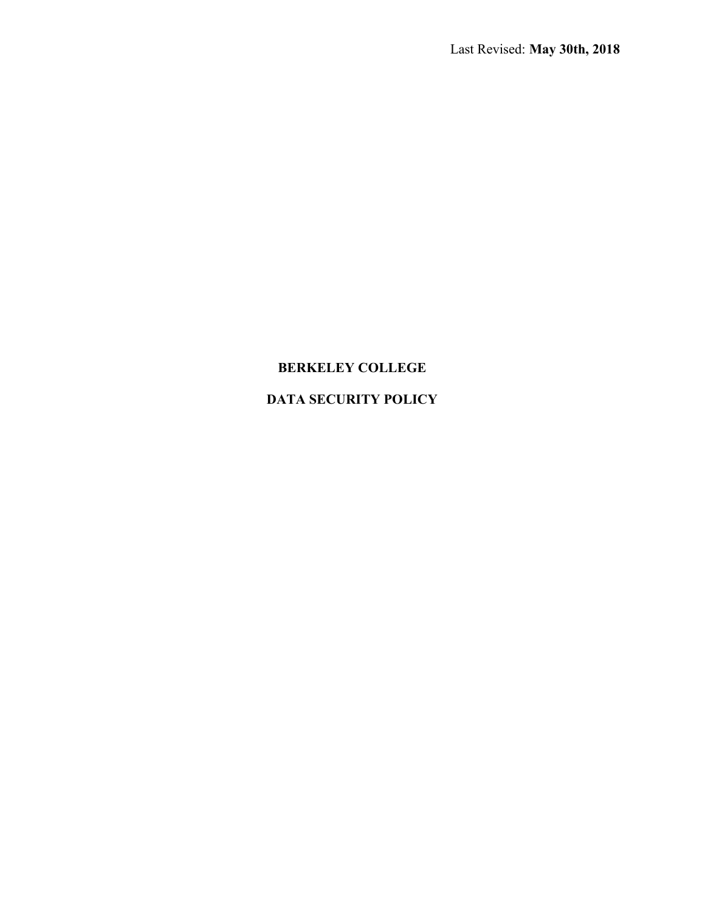# BERKELEY COLLEGE

# DATA SECURITY POLICY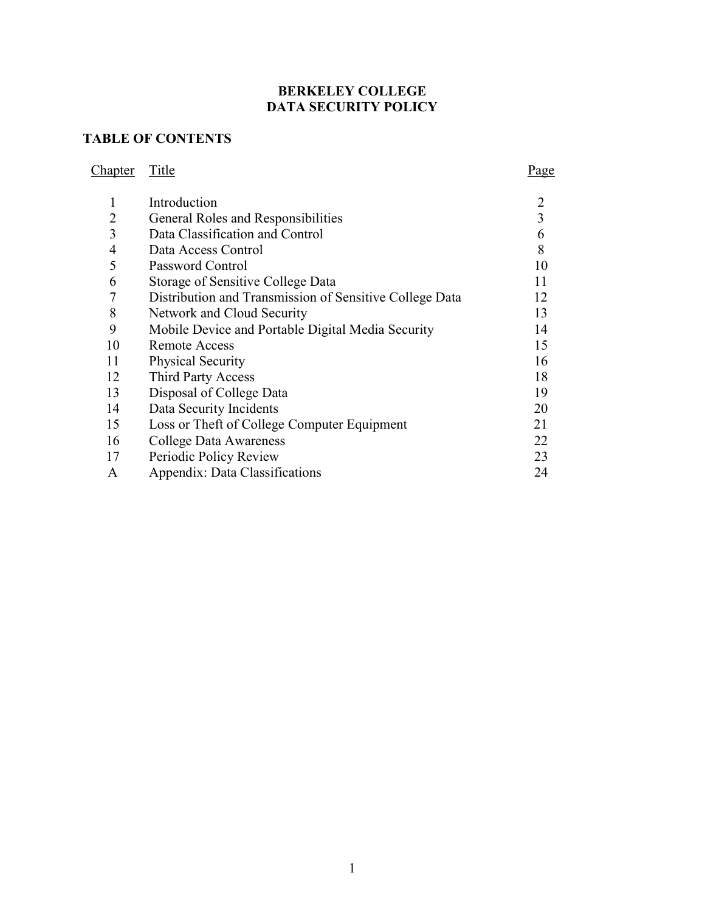# BERKELEY COLLEGE DATA SECURITY POLICY

# TABLE OF CONTENTS

Chapter Title

|                | Introduction                                            |    |
|----------------|---------------------------------------------------------|----|
| 2              | General Roles and Responsibilities                      | 3  |
| 3              | Data Classification and Control                         | 6  |
| $\overline{4}$ | Data Access Control                                     | 8  |
| 5              | Password Control                                        | 10 |
| 6              | Storage of Sensitive College Data                       | 11 |
| 7              | Distribution and Transmission of Sensitive College Data | 12 |
| 8              | Network and Cloud Security                              | 13 |
| 9              | Mobile Device and Portable Digital Media Security       | 14 |
| 10             | Remote Access                                           | 15 |
| 11             | <b>Physical Security</b>                                | 16 |
| 12             | Third Party Access                                      | 18 |
| 13             | Disposal of College Data                                | 19 |
| 14             | Data Security Incidents                                 | 20 |
| 15             | Loss or Theft of College Computer Equipment             | 21 |
| 16             | College Data Awareness                                  | 22 |
| 17             | Periodic Policy Review                                  | 23 |
| A              | Appendix: Data Classifications                          | 24 |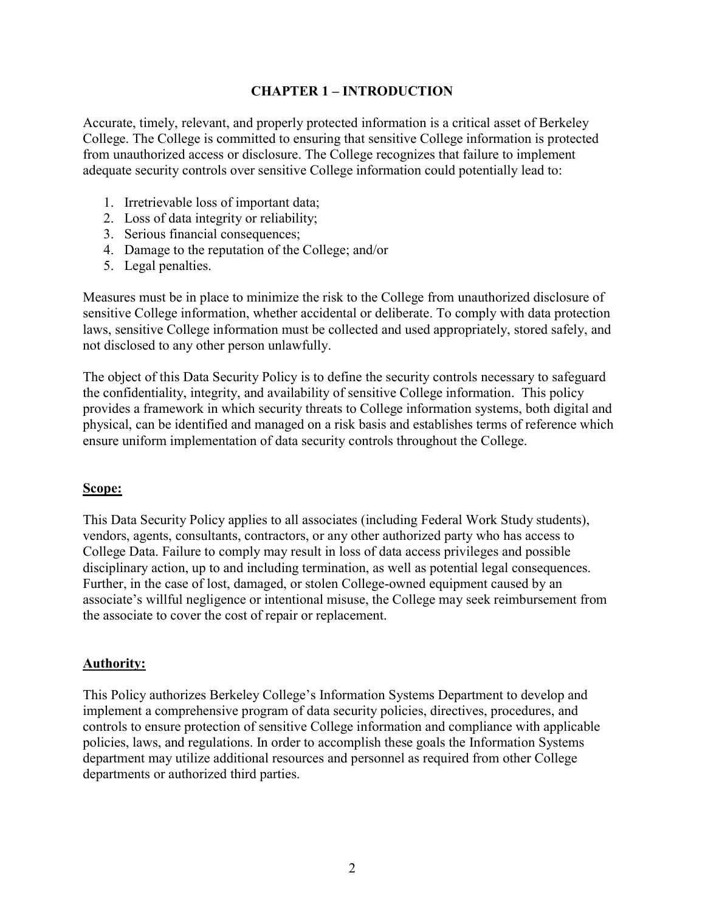#### CHAPTER 1 – INTRODUCTION

Accurate, timely, relevant, and properly protected information is a critical asset of Berkeley College. The College is committed to ensuring that sensitive College information is protected from unauthorized access or disclosure. The College recognizes that failure to implement adequate security controls over sensitive College information could potentially lead to:

- 1. Irretrievable loss of important data;
- 2. Loss of data integrity or reliability;
- 3. Serious financial consequences;
- 4. Damage to the reputation of the College; and/or
- 5. Legal penalties.

Measures must be in place to minimize the risk to the College from unauthorized disclosure of sensitive College information, whether accidental or deliberate. To comply with data protection laws, sensitive College information must be collected and used appropriately, stored safely, and not disclosed to any other person unlawfully.

The object of this Data Security Policy is to define the security controls necessary to safeguard the confidentiality, integrity, and availability of sensitive College information. This policy provides a framework in which security threats to College information systems, both digital and physical, can be identified and managed on a risk basis and establishes terms of reference which ensure uniform implementation of data security controls throughout the College.

#### Scope:

This Data Security Policy applies to all associates (including Federal Work Study students), vendors, agents, consultants, contractors, or any other authorized party who has access to College Data. Failure to comply may result in loss of data access privileges and possible disciplinary action, up to and including termination, as well as potential legal consequences. Further, in the case of lost, damaged, or stolen College-owned equipment caused by an associate's willful negligence or intentional misuse, the College may seek reimbursement from the associate to cover the cost of repair or replacement.

#### Authority:

This Policy authorizes Berkeley College's Information Systems Department to develop and implement a comprehensive program of data security policies, directives, procedures, and controls to ensure protection of sensitive College information and compliance with applicable policies, laws, and regulations. In order to accomplish these goals the Information Systems department may utilize additional resources and personnel as required from other College departments or authorized third parties.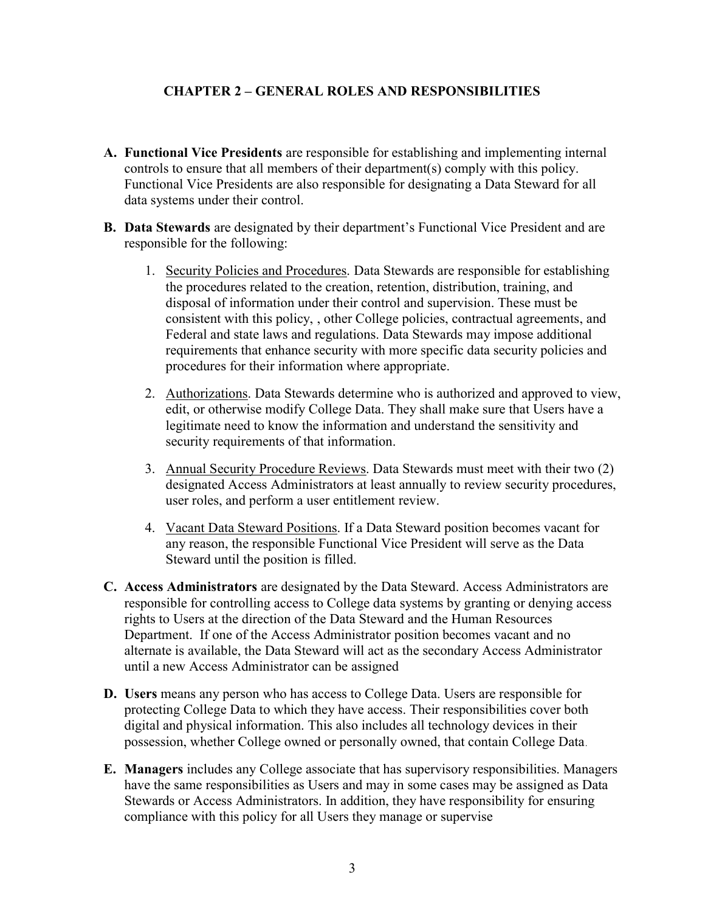## CHAPTER 2 – GENERAL ROLES AND RESPONSIBILITIES

- A. Functional Vice Presidents are responsible for establishing and implementing internal controls to ensure that all members of their department(s) comply with this policy. Functional Vice Presidents are also responsible for designating a Data Steward for all data systems under their control.
- B. Data Stewards are designated by their department's Functional Vice President and are responsible for the following:
	- 1. Security Policies and Procedures. Data Stewards are responsible for establishing the procedures related to the creation, retention, distribution, training, and disposal of information under their control and supervision. These must be consistent with this policy, , other College policies, contractual agreements, and Federal and state laws and regulations. Data Stewards may impose additional requirements that enhance security with more specific data security policies and procedures for their information where appropriate.
	- 2. Authorizations. Data Stewards determine who is authorized and approved to view, edit, or otherwise modify College Data. They shall make sure that Users have a legitimate need to know the information and understand the sensitivity and security requirements of that information.
	- 3. Annual Security Procedure Reviews. Data Stewards must meet with their two (2) designated Access Administrators at least annually to review security procedures, user roles, and perform a user entitlement review.
	- 4. Vacant Data Steward Positions. If a Data Steward position becomes vacant for any reason, the responsible Functional Vice President will serve as the Data Steward until the position is filled.
- C. Access Administrators are designated by the Data Steward. Access Administrators are responsible for controlling access to College data systems by granting or denying access rights to Users at the direction of the Data Steward and the Human Resources Department. If one of the Access Administrator position becomes vacant and no alternate is available, the Data Steward will act as the secondary Access Administrator until a new Access Administrator can be assigned
- D. Users means any person who has access to College Data. Users are responsible for protecting College Data to which they have access. Their responsibilities cover both digital and physical information. This also includes all technology devices in their possession, whether College owned or personally owned, that contain College Data.
- E. Managers includes any College associate that has supervisory responsibilities. Managers have the same responsibilities as Users and may in some cases may be assigned as Data Stewards or Access Administrators. In addition, they have responsibility for ensuring compliance with this policy for all Users they manage or supervise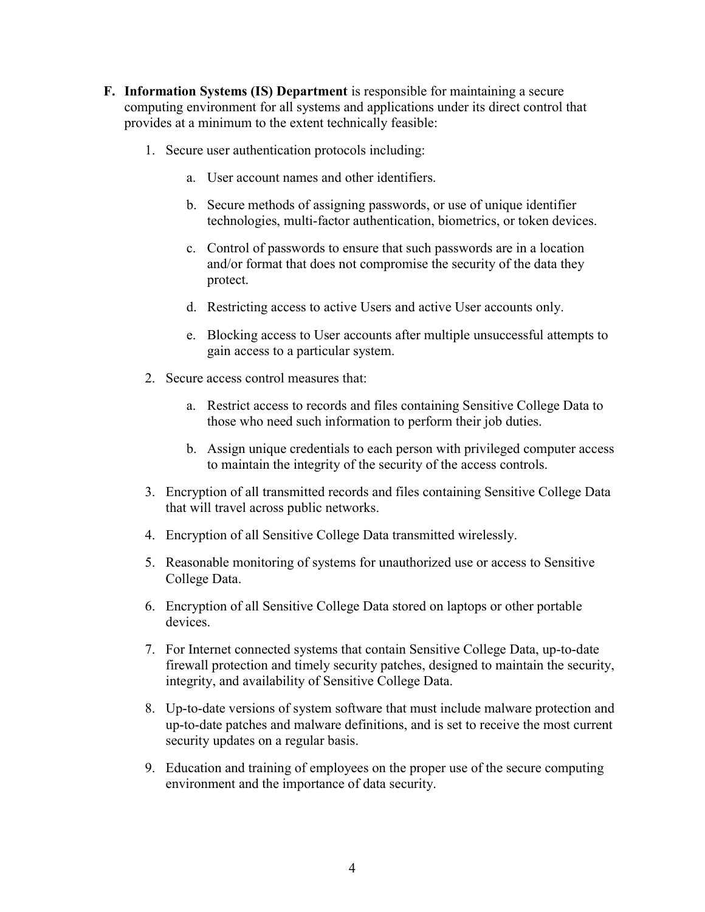- F. Information Systems (IS) Department is responsible for maintaining a secure computing environment for all systems and applications under its direct control that provides at a minimum to the extent technically feasible:
	- 1. Secure user authentication protocols including:
		- a. User account names and other identifiers.
		- b. Secure methods of assigning passwords, or use of unique identifier technologies, multi-factor authentication, biometrics, or token devices.
		- c. Control of passwords to ensure that such passwords are in a location and/or format that does not compromise the security of the data they protect.
		- d. Restricting access to active Users and active User accounts only.
		- e. Blocking access to User accounts after multiple unsuccessful attempts to gain access to a particular system.
	- 2. Secure access control measures that:
		- a. Restrict access to records and files containing Sensitive College Data to those who need such information to perform their job duties.
		- b. Assign unique credentials to each person with privileged computer access to maintain the integrity of the security of the access controls.
	- 3. Encryption of all transmitted records and files containing Sensitive College Data that will travel across public networks.
	- 4. Encryption of all Sensitive College Data transmitted wirelessly.
	- 5. Reasonable monitoring of systems for unauthorized use or access to Sensitive College Data.
	- 6. Encryption of all Sensitive College Data stored on laptops or other portable devices.
	- 7. For Internet connected systems that contain Sensitive College Data, up-to-date firewall protection and timely security patches, designed to maintain the security, integrity, and availability of Sensitive College Data.
	- 8. Up-to-date versions of system software that must include malware protection and up-to-date patches and malware definitions, and is set to receive the most current security updates on a regular basis.
	- 9. Education and training of employees on the proper use of the secure computing environment and the importance of data security.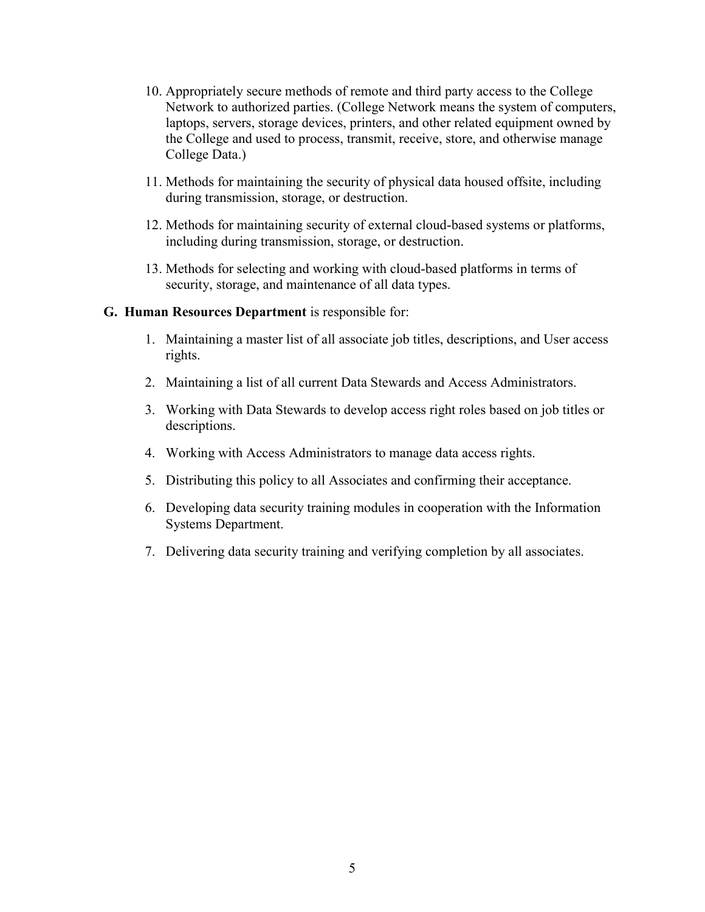- 10. Appropriately secure methods of remote and third party access to the College Network to authorized parties. (College Network means the system of computers, laptops, servers, storage devices, printers, and other related equipment owned by the College and used to process, transmit, receive, store, and otherwise manage College Data.)
- 11. Methods for maintaining the security of physical data housed offsite, including during transmission, storage, or destruction.
- 12. Methods for maintaining security of external cloud-based systems or platforms, including during transmission, storage, or destruction.
- 13. Methods for selecting and working with cloud-based platforms in terms of security, storage, and maintenance of all data types.

#### G. Human Resources Department is responsible for:

- 1. Maintaining a master list of all associate job titles, descriptions, and User access rights.
- 2. Maintaining a list of all current Data Stewards and Access Administrators.
- 3. Working with Data Stewards to develop access right roles based on job titles or descriptions.
- 4. Working with Access Administrators to manage data access rights.
- 5. Distributing this policy to all Associates and confirming their acceptance.
- 6. Developing data security training modules in cooperation with the Information Systems Department.
- 7. Delivering data security training and verifying completion by all associates.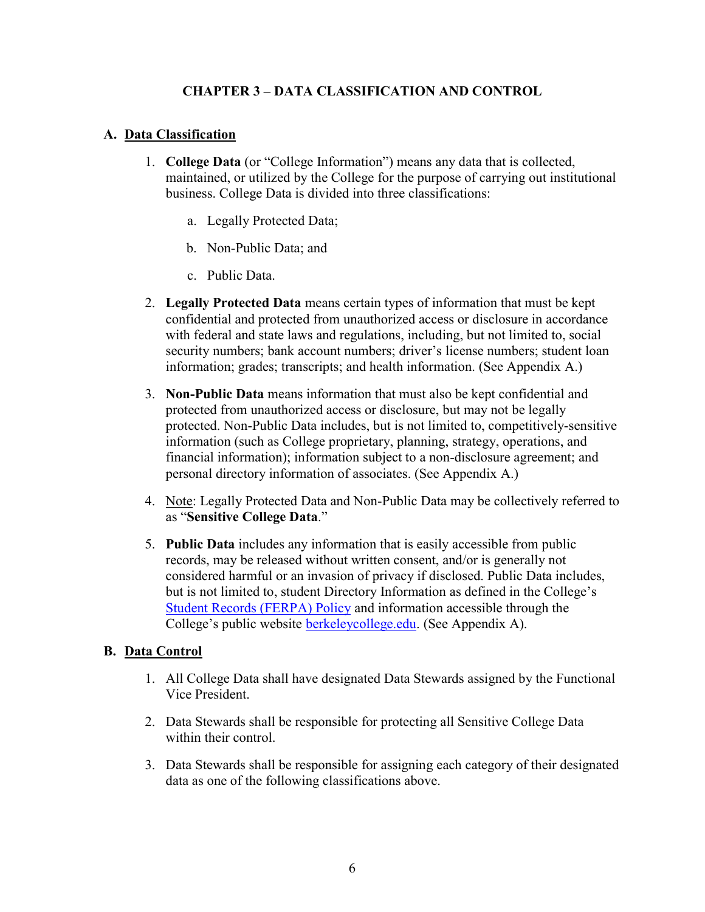## CHAPTER 3 – DATA CLASSIFICATION AND CONTROL

## A. Data Classification

- 1. College Data (or "College Information") means any data that is collected, maintained, or utilized by the College for the purpose of carrying out institutional business. College Data is divided into three classifications:
	- a. Legally Protected Data;
	- b. Non-Public Data; and
	- c. Public Data.
- 2. Legally Protected Data means certain types of information that must be kept confidential and protected from unauthorized access or disclosure in accordance with federal and state laws and regulations, including, but not limited to, social security numbers; bank account numbers; driver's license numbers; student loan information; grades; transcripts; and health information. (See Appendix A.)
- 3. Non-Public Data means information that must also be kept confidential and protected from unauthorized access or disclosure, but may not be legally protected. Non-Public Data includes, but is not limited to, competitively-sensitive information (such as College proprietary, planning, strategy, operations, and financial information); information subject to a non-disclosure agreement; and personal directory information of associates. (See Appendix A.)
- 4. Note: Legally Protected Data and Non-Public Data may be collectively referred to as "Sensitive College Data."
- 5. Public Data includes any information that is easily accessible from public records, may be released without written consent, and/or is generally not considered harmful or an invasion of privacy if disclosed. Public Data includes, but is not limited to, student Directory Information as defined in the College's Student Records (FERPA) Policy and information accessible through the College's public website berkeleycollege.edu. (See Appendix A).

## B. Data Control

- 1. All College Data shall have designated Data Stewards assigned by the Functional Vice President.
- 2. Data Stewards shall be responsible for protecting all Sensitive College Data within their control.
- 3. Data Stewards shall be responsible for assigning each category of their designated data as one of the following classifications above.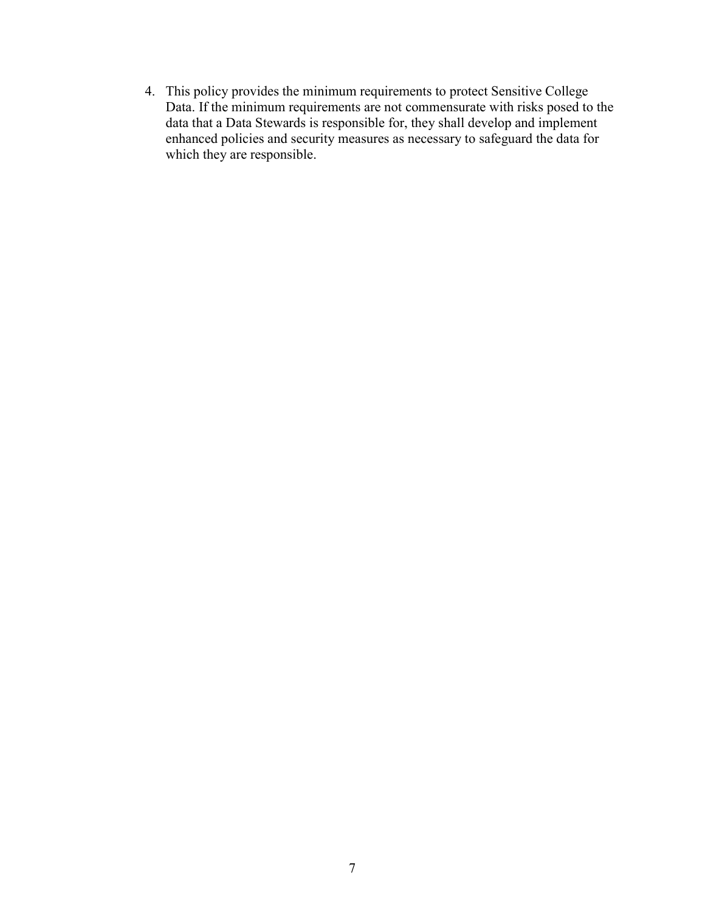4. This policy provides the minimum requirements to protect Sensitive College Data. If the minimum requirements are not commensurate with risks posed to the data that a Data Stewards is responsible for, they shall develop and implement enhanced policies and security measures as necessary to safeguard the data for which they are responsible.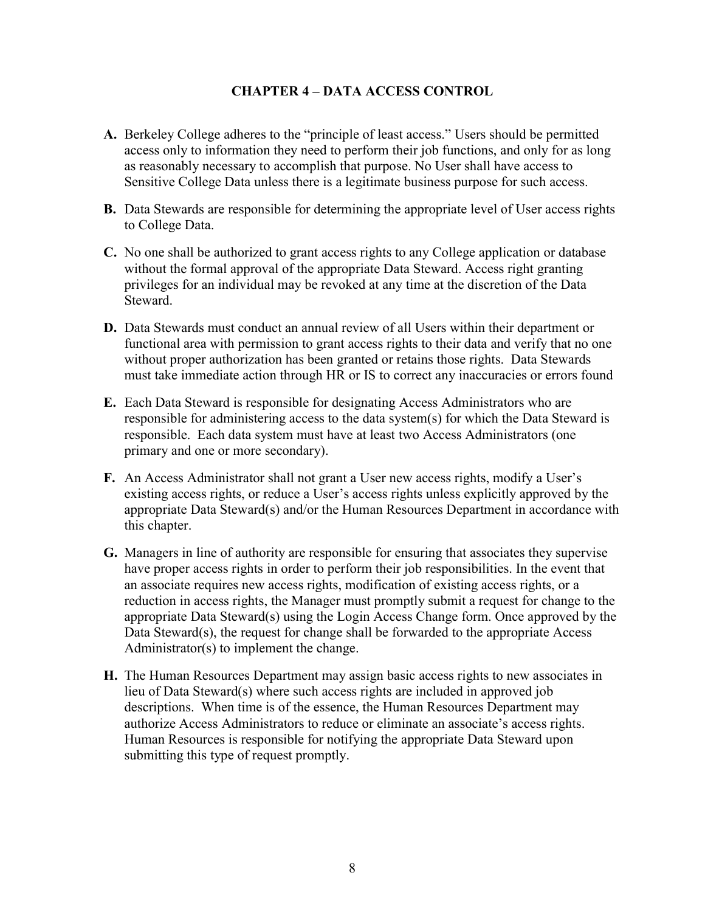### CHAPTER 4 – DATA ACCESS CONTROL

- A. Berkeley College adheres to the "principle of least access." Users should be permitted access only to information they need to perform their job functions, and only for as long as reasonably necessary to accomplish that purpose. No User shall have access to Sensitive College Data unless there is a legitimate business purpose for such access.
- B. Data Stewards are responsible for determining the appropriate level of User access rights to College Data.
- C. No one shall be authorized to grant access rights to any College application or database without the formal approval of the appropriate Data Steward. Access right granting privileges for an individual may be revoked at any time at the discretion of the Data Steward.
- D. Data Stewards must conduct an annual review of all Users within their department or functional area with permission to grant access rights to their data and verify that no one without proper authorization has been granted or retains those rights. Data Stewards must take immediate action through HR or IS to correct any inaccuracies or errors found
- E. Each Data Steward is responsible for designating Access Administrators who are responsible for administering access to the data system(s) for which the Data Steward is responsible. Each data system must have at least two Access Administrators (one primary and one or more secondary).
- F. An Access Administrator shall not grant a User new access rights, modify a User's existing access rights, or reduce a User's access rights unless explicitly approved by the appropriate Data Steward(s) and/or the Human Resources Department in accordance with this chapter.
- G. Managers in line of authority are responsible for ensuring that associates they supervise have proper access rights in order to perform their job responsibilities. In the event that an associate requires new access rights, modification of existing access rights, or a reduction in access rights, the Manager must promptly submit a request for change to the appropriate Data Steward(s) using the Login Access Change form. Once approved by the Data Steward(s), the request for change shall be forwarded to the appropriate Access Administrator(s) to implement the change.
- H. The Human Resources Department may assign basic access rights to new associates in lieu of Data Steward(s) where such access rights are included in approved job descriptions. When time is of the essence, the Human Resources Department may authorize Access Administrators to reduce or eliminate an associate's access rights. Human Resources is responsible for notifying the appropriate Data Steward upon submitting this type of request promptly.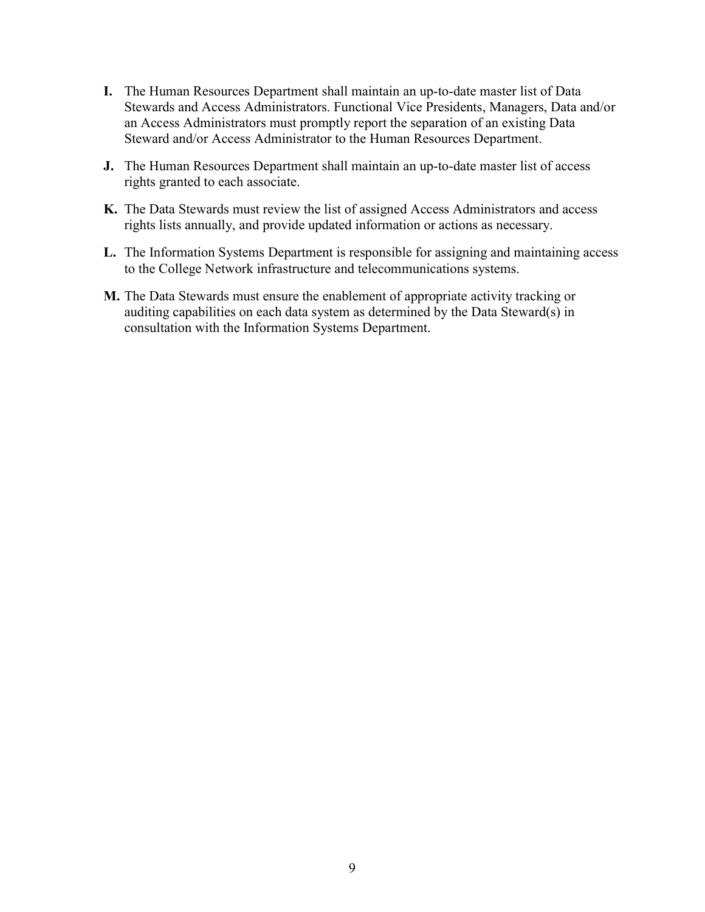- I. The Human Resources Department shall maintain an up-to-date master list of Data Stewards and Access Administrators. Functional Vice Presidents, Managers, Data and/or an Access Administrators must promptly report the separation of an existing Data Steward and/or Access Administrator to the Human Resources Department.
- J. The Human Resources Department shall maintain an up-to-date master list of access rights granted to each associate.
- K. The Data Stewards must review the list of assigned Access Administrators and access rights lists annually, and provide updated information or actions as necessary.
- L. The Information Systems Department is responsible for assigning and maintaining access to the College Network infrastructure and telecommunications systems.
- M. The Data Stewards must ensure the enablement of appropriate activity tracking or auditing capabilities on each data system as determined by the Data Steward(s) in consultation with the Information Systems Department.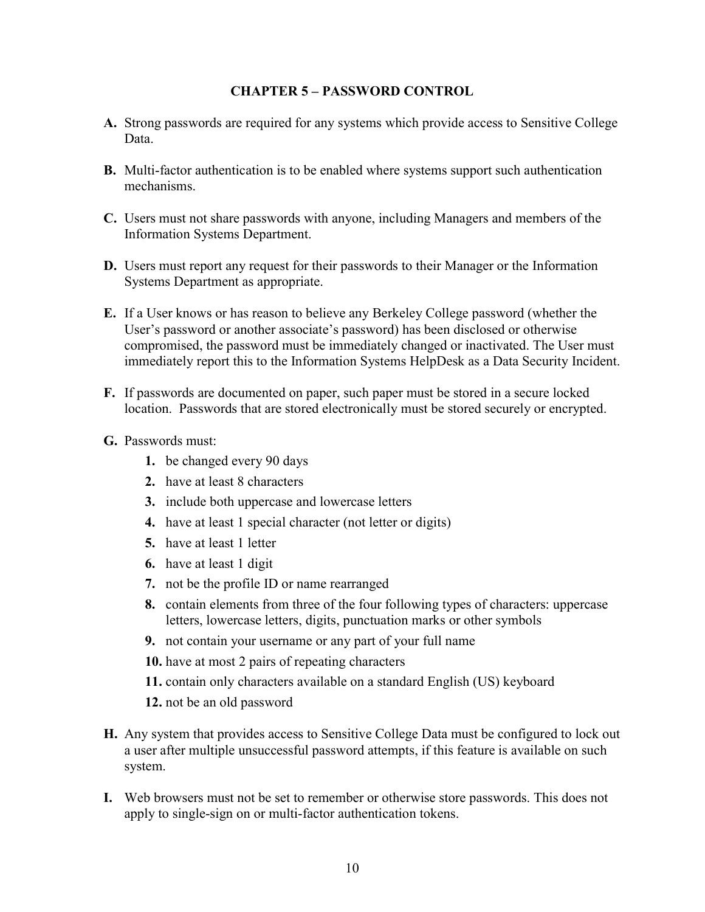#### CHAPTER 5 – PASSWORD CONTROL

- A. Strong passwords are required for any systems which provide access to Sensitive College Data.
- B. Multi-factor authentication is to be enabled where systems support such authentication mechanisms.
- C. Users must not share passwords with anyone, including Managers and members of the Information Systems Department.
- D. Users must report any request for their passwords to their Manager or the Information Systems Department as appropriate.
- E. If a User knows or has reason to believe any Berkeley College password (whether the User's password or another associate's password) has been disclosed or otherwise compromised, the password must be immediately changed or inactivated. The User must immediately report this to the Information Systems HelpDesk as a Data Security Incident.
- F. If passwords are documented on paper, such paper must be stored in a secure locked location. Passwords that are stored electronically must be stored securely or encrypted.
- G. Passwords must:
	- 1. be changed every 90 days
	- 2. have at least 8 characters
	- 3. include both uppercase and lowercase letters
	- 4. have at least 1 special character (not letter or digits)
	- 5. have at least 1 letter
	- 6. have at least 1 digit
	- 7. not be the profile ID or name rearranged
	- 8. contain elements from three of the four following types of characters: uppercase letters, lowercase letters, digits, punctuation marks or other symbols
	- 9. not contain your username or any part of your full name
	- 10. have at most 2 pairs of repeating characters
	- 11. contain only characters available on a standard English (US) keyboard
	- 12. not be an old password
- H. Any system that provides access to Sensitive College Data must be configured to lock out a user after multiple unsuccessful password attempts, if this feature is available on such system.
- I. Web browsers must not be set to remember or otherwise store passwords. This does not apply to single-sign on or multi-factor authentication tokens.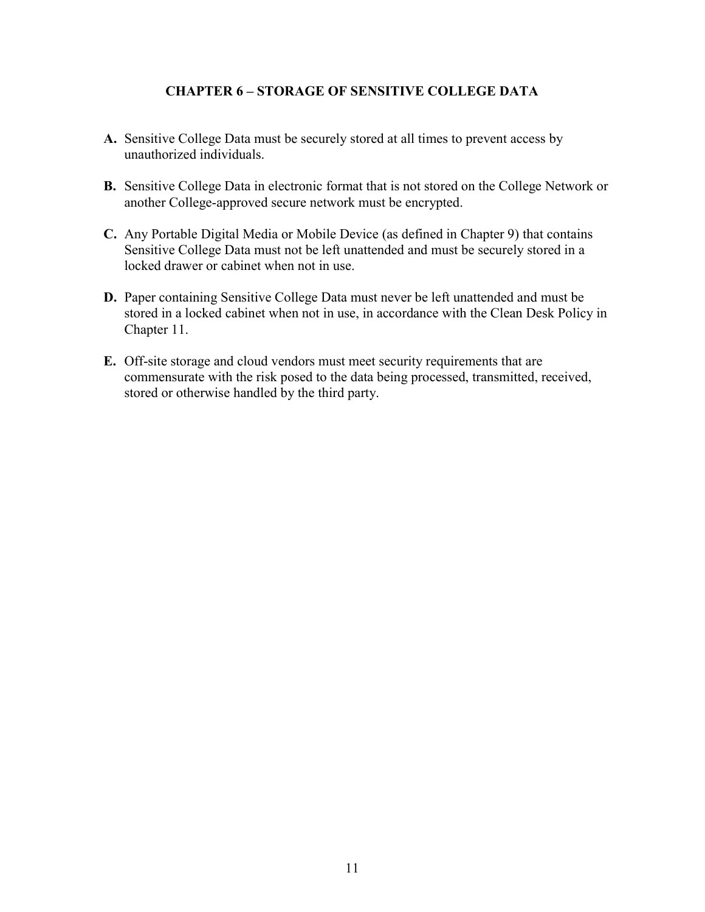### CHAPTER 6 – STORAGE OF SENSITIVE COLLEGE DATA

- A. Sensitive College Data must be securely stored at all times to prevent access by unauthorized individuals.
- B. Sensitive College Data in electronic format that is not stored on the College Network or another College-approved secure network must be encrypted.
- C. Any Portable Digital Media or Mobile Device (as defined in Chapter 9) that contains Sensitive College Data must not be left unattended and must be securely stored in a locked drawer or cabinet when not in use.
- D. Paper containing Sensitive College Data must never be left unattended and must be stored in a locked cabinet when not in use, in accordance with the Clean Desk Policy in Chapter 11.
- E. Off-site storage and cloud vendors must meet security requirements that are commensurate with the risk posed to the data being processed, transmitted, received, stored or otherwise handled by the third party.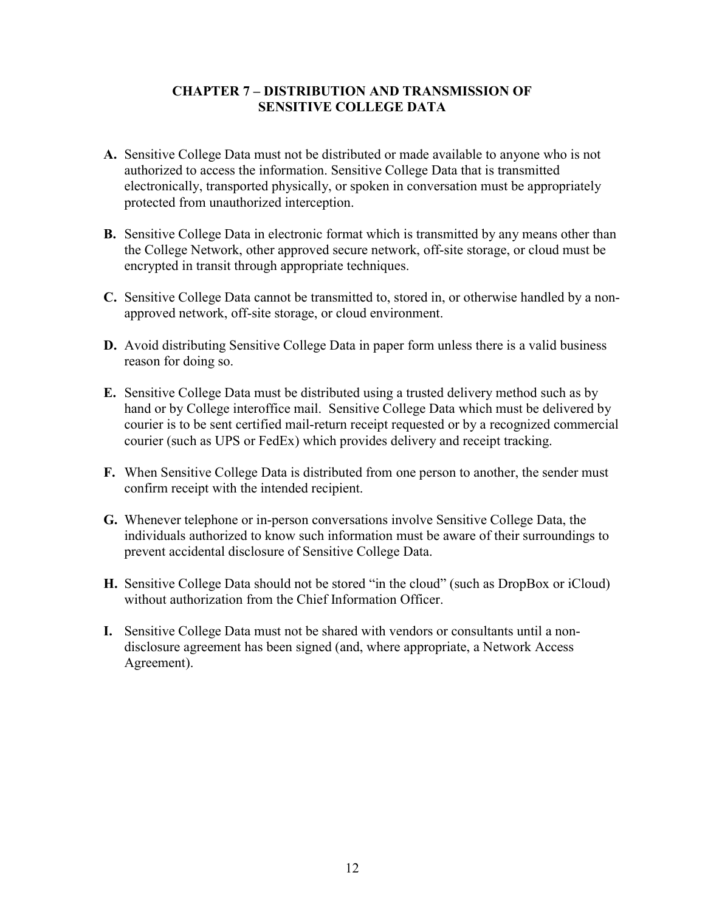### CHAPTER 7 – DISTRIBUTION AND TRANSMISSION OF SENSITIVE COLLEGE DATA

- A. Sensitive College Data must not be distributed or made available to anyone who is not authorized to access the information. Sensitive College Data that is transmitted electronically, transported physically, or spoken in conversation must be appropriately protected from unauthorized interception.
- B. Sensitive College Data in electronic format which is transmitted by any means other than the College Network, other approved secure network, off-site storage, or cloud must be encrypted in transit through appropriate techniques.
- C. Sensitive College Data cannot be transmitted to, stored in, or otherwise handled by a nonapproved network, off-site storage, or cloud environment.
- D. Avoid distributing Sensitive College Data in paper form unless there is a valid business reason for doing so.
- E. Sensitive College Data must be distributed using a trusted delivery method such as by hand or by College interoffice mail. Sensitive College Data which must be delivered by courier is to be sent certified mail-return receipt requested or by a recognized commercial courier (such as UPS or FedEx) which provides delivery and receipt tracking.
- F. When Sensitive College Data is distributed from one person to another, the sender must confirm receipt with the intended recipient.
- G. Whenever telephone or in-person conversations involve Sensitive College Data, the individuals authorized to know such information must be aware of their surroundings to prevent accidental disclosure of Sensitive College Data.
- H. Sensitive College Data should not be stored "in the cloud" (such as DropBox or iCloud) without authorization from the Chief Information Officer.
- I. Sensitive College Data must not be shared with vendors or consultants until a nondisclosure agreement has been signed (and, where appropriate, a Network Access Agreement).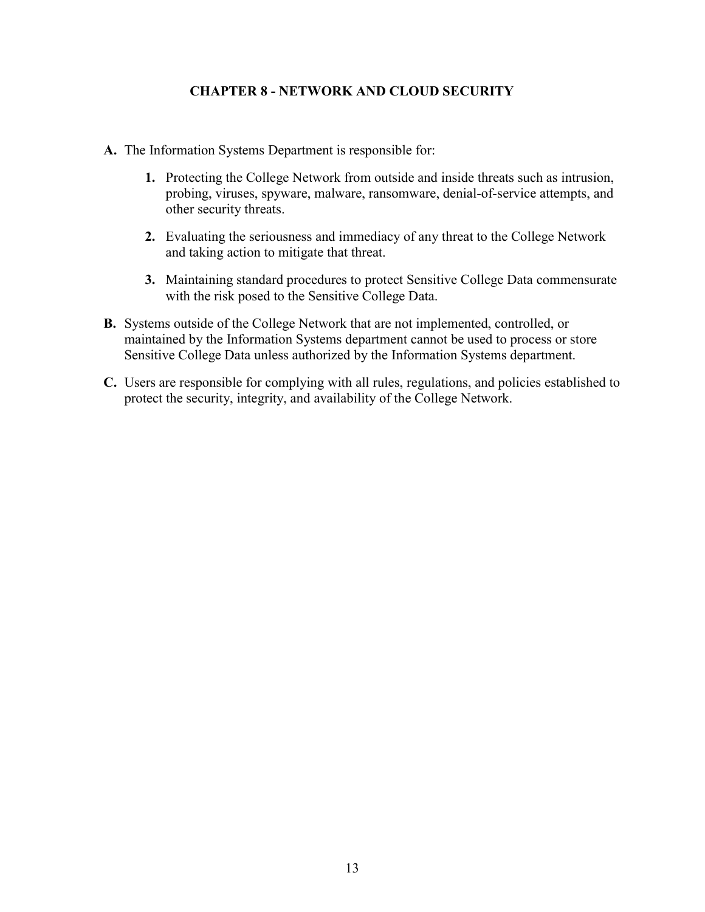## CHAPTER 8 - NETWORK AND CLOUD SECURITY

- A. The Information Systems Department is responsible for:
	- 1. Protecting the College Network from outside and inside threats such as intrusion, probing, viruses, spyware, malware, ransomware, denial-of-service attempts, and other security threats.
	- 2. Evaluating the seriousness and immediacy of any threat to the College Network and taking action to mitigate that threat.
	- 3. Maintaining standard procedures to protect Sensitive College Data commensurate with the risk posed to the Sensitive College Data.
- B. Systems outside of the College Network that are not implemented, controlled, or maintained by the Information Systems department cannot be used to process or store Sensitive College Data unless authorized by the Information Systems department.
- C. Users are responsible for complying with all rules, regulations, and policies established to protect the security, integrity, and availability of the College Network.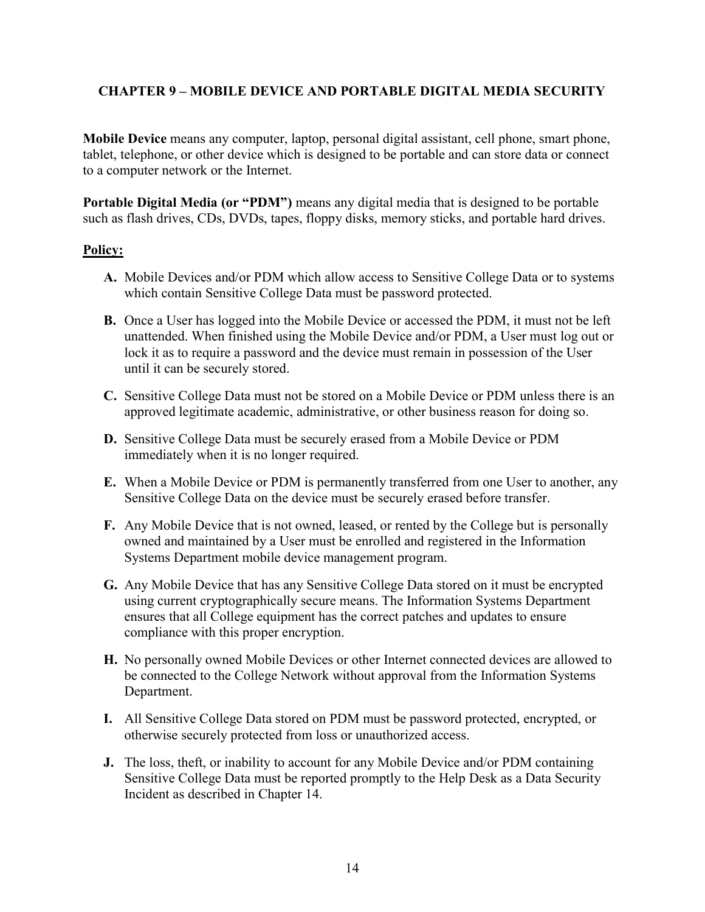# CHAPTER 9 – MOBILE DEVICE AND PORTABLE DIGITAL MEDIA SECURITY

Mobile Device means any computer, laptop, personal digital assistant, cell phone, smart phone, tablet, telephone, or other device which is designed to be portable and can store data or connect to a computer network or the Internet.

Portable Digital Media (or "PDM") means any digital media that is designed to be portable such as flash drives, CDs, DVDs, tapes, floppy disks, memory sticks, and portable hard drives.

## Policy:

- A. Mobile Devices and/or PDM which allow access to Sensitive College Data or to systems which contain Sensitive College Data must be password protected.
- B. Once a User has logged into the Mobile Device or accessed the PDM, it must not be left unattended. When finished using the Mobile Device and/or PDM, a User must log out or lock it as to require a password and the device must remain in possession of the User until it can be securely stored.
- C. Sensitive College Data must not be stored on a Mobile Device or PDM unless there is an approved legitimate academic, administrative, or other business reason for doing so.
- D. Sensitive College Data must be securely erased from a Mobile Device or PDM immediately when it is no longer required.
- E. When a Mobile Device or PDM is permanently transferred from one User to another, any Sensitive College Data on the device must be securely erased before transfer.
- F. Any Mobile Device that is not owned, leased, or rented by the College but is personally owned and maintained by a User must be enrolled and registered in the Information Systems Department mobile device management program.
- G. Any Mobile Device that has any Sensitive College Data stored on it must be encrypted using current cryptographically secure means. The Information Systems Department ensures that all College equipment has the correct patches and updates to ensure compliance with this proper encryption.
- H. No personally owned Mobile Devices or other Internet connected devices are allowed to be connected to the College Network without approval from the Information Systems Department.
- I. All Sensitive College Data stored on PDM must be password protected, encrypted, or otherwise securely protected from loss or unauthorized access.
- J. The loss, theft, or inability to account for any Mobile Device and/or PDM containing Sensitive College Data must be reported promptly to the Help Desk as a Data Security Incident as described in Chapter 14.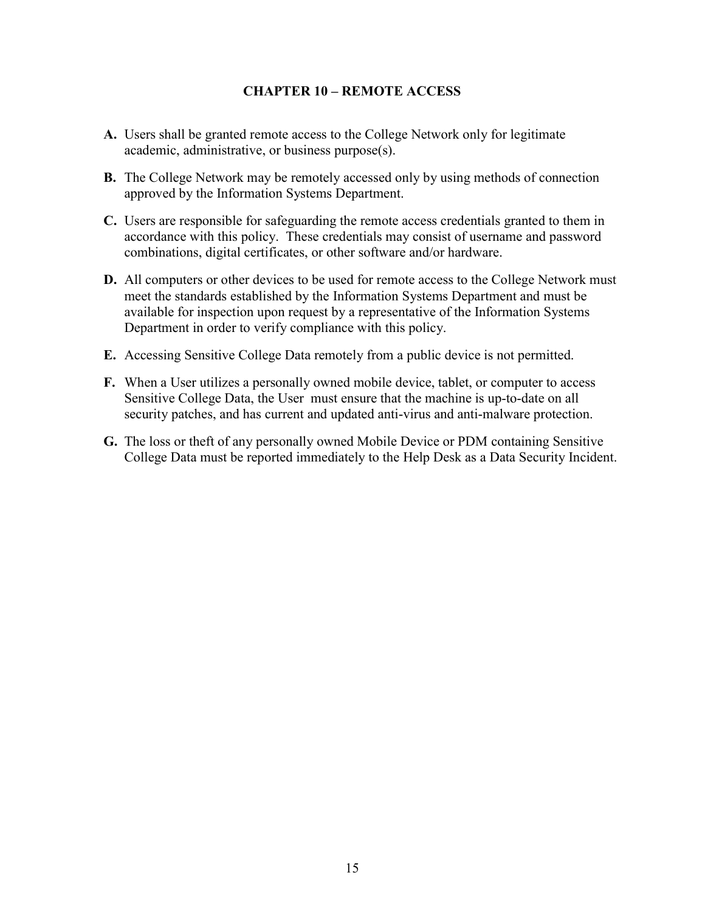#### CHAPTER 10 – REMOTE ACCESS

- A. Users shall be granted remote access to the College Network only for legitimate academic, administrative, or business purpose(s).
- B. The College Network may be remotely accessed only by using methods of connection approved by the Information Systems Department.
- C. Users are responsible for safeguarding the remote access credentials granted to them in accordance with this policy. These credentials may consist of username and password combinations, digital certificates, or other software and/or hardware.
- D. All computers or other devices to be used for remote access to the College Network must meet the standards established by the Information Systems Department and must be available for inspection upon request by a representative of the Information Systems Department in order to verify compliance with this policy.
- E. Accessing Sensitive College Data remotely from a public device is not permitted.
- F. When a User utilizes a personally owned mobile device, tablet, or computer to access Sensitive College Data, the User must ensure that the machine is up-to-date on all security patches, and has current and updated anti-virus and anti-malware protection.
- G. The loss or theft of any personally owned Mobile Device or PDM containing Sensitive College Data must be reported immediately to the Help Desk as a Data Security Incident.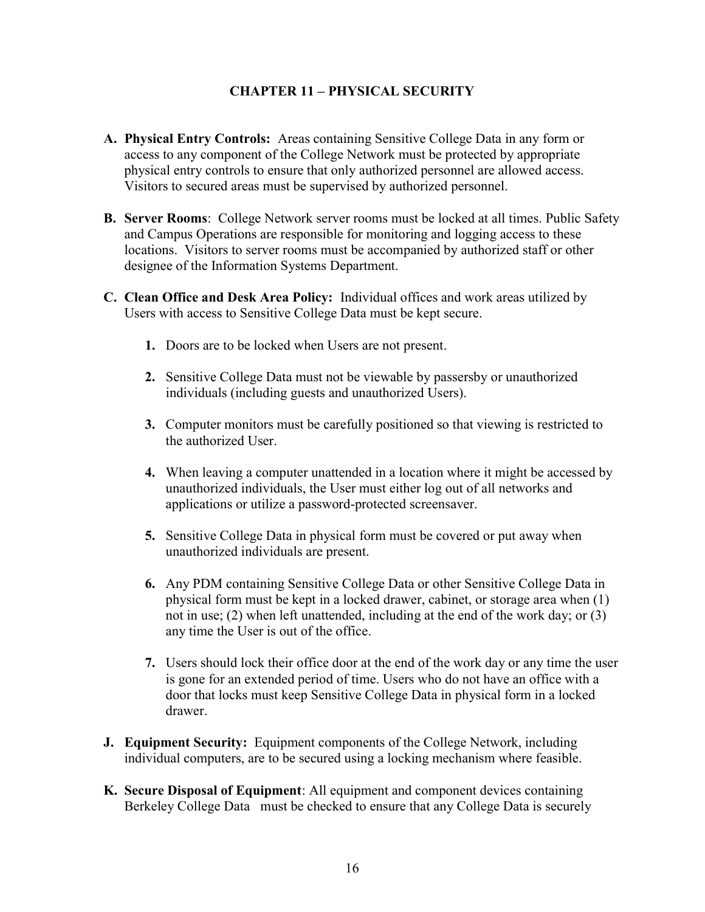## CHAPTER 11 – PHYSICAL SECURITY

- A. Physical Entry Controls: Areas containing Sensitive College Data in any form or access to any component of the College Network must be protected by appropriate physical entry controls to ensure that only authorized personnel are allowed access. Visitors to secured areas must be supervised by authorized personnel.
- B. Server Rooms: College Network server rooms must be locked at all times. Public Safety and Campus Operations are responsible for monitoring and logging access to these locations. Visitors to server rooms must be accompanied by authorized staff or other designee of the Information Systems Department.
- C. Clean Office and Desk Area Policy: Individual offices and work areas utilized by Users with access to Sensitive College Data must be kept secure.
	- 1. Doors are to be locked when Users are not present.
	- 2. Sensitive College Data must not be viewable by passersby or unauthorized individuals (including guests and unauthorized Users).
	- 3. Computer monitors must be carefully positioned so that viewing is restricted to the authorized User.
	- 4. When leaving a computer unattended in a location where it might be accessed by unauthorized individuals, the User must either log out of all networks and applications or utilize a password-protected screensaver.
	- 5. Sensitive College Data in physical form must be covered or put away when unauthorized individuals are present.
	- 6. Any PDM containing Sensitive College Data or other Sensitive College Data in physical form must be kept in a locked drawer, cabinet, or storage area when (1) not in use; (2) when left unattended, including at the end of the work day; or (3) any time the User is out of the office.
	- 7. Users should lock their office door at the end of the work day or any time the user is gone for an extended period of time. Users who do not have an office with a door that locks must keep Sensitive College Data in physical form in a locked drawer.
- **J. Equipment Security:** Equipment components of the College Network, including individual computers, are to be secured using a locking mechanism where feasible.
- K. Secure Disposal of Equipment: All equipment and component devices containing Berkeley College Data must be checked to ensure that any College Data is securely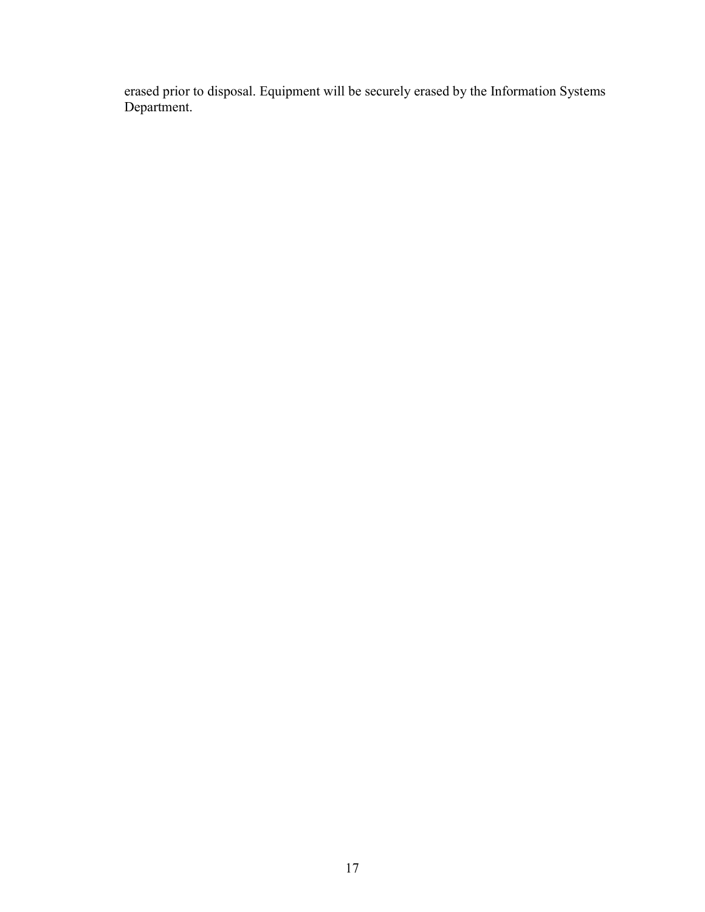erased prior to disposal. Equipment will be securely erased by the Information Systems Department.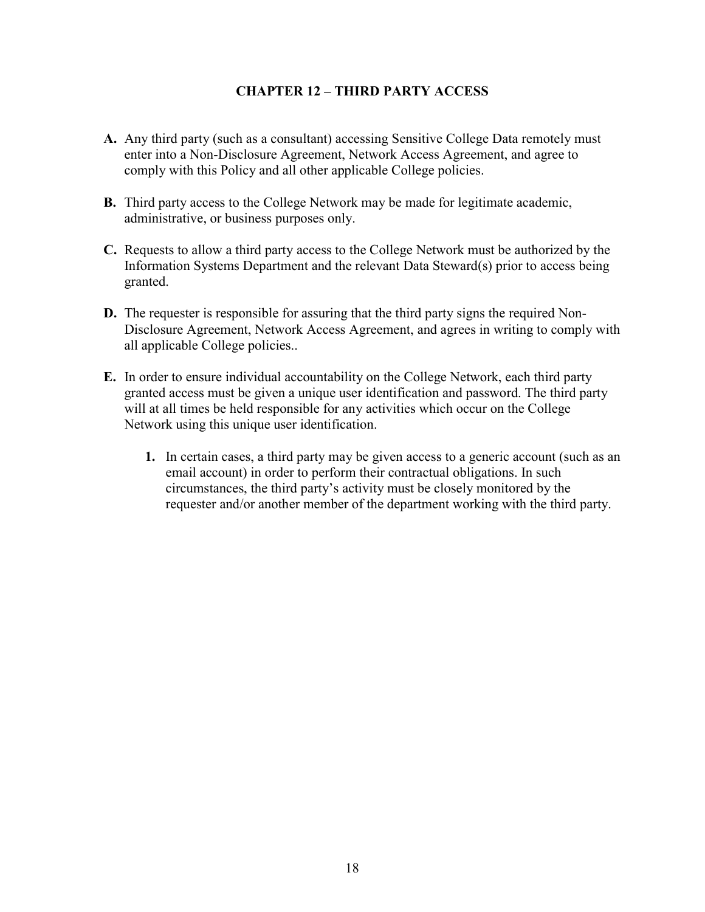### CHAPTER 12 – THIRD PARTY ACCESS

- A. Any third party (such as a consultant) accessing Sensitive College Data remotely must enter into a Non-Disclosure Agreement, Network Access Agreement, and agree to comply with this Policy and all other applicable College policies.
- B. Third party access to the College Network may be made for legitimate academic, administrative, or business purposes only.
- C. Requests to allow a third party access to the College Network must be authorized by the Information Systems Department and the relevant Data Steward(s) prior to access being granted.
- D. The requester is responsible for assuring that the third party signs the required Non-Disclosure Agreement, Network Access Agreement, and agrees in writing to comply with all applicable College policies..
- E. In order to ensure individual accountability on the College Network, each third party granted access must be given a unique user identification and password. The third party will at all times be held responsible for any activities which occur on the College Network using this unique user identification.
	- 1. In certain cases, a third party may be given access to a generic account (such as an email account) in order to perform their contractual obligations. In such circumstances, the third party's activity must be closely monitored by the requester and/or another member of the department working with the third party.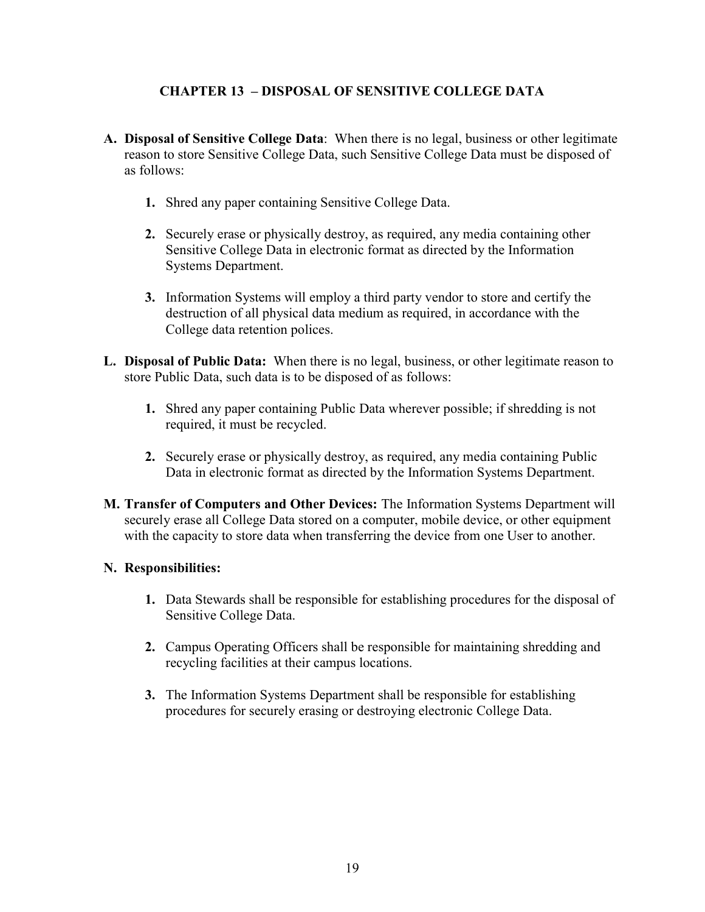# CHAPTER 13 – DISPOSAL OF SENSITIVE COLLEGE DATA

- A. Disposal of Sensitive College Data: When there is no legal, business or other legitimate reason to store Sensitive College Data, such Sensitive College Data must be disposed of as follows:
	- 1. Shred any paper containing Sensitive College Data.
	- 2. Securely erase or physically destroy, as required, any media containing other Sensitive College Data in electronic format as directed by the Information Systems Department.
	- 3. Information Systems will employ a third party vendor to store and certify the destruction of all physical data medium as required, in accordance with the College data retention polices.
- L. Disposal of Public Data: When there is no legal, business, or other legitimate reason to store Public Data, such data is to be disposed of as follows:
	- 1. Shred any paper containing Public Data wherever possible; if shredding is not required, it must be recycled.
	- 2. Securely erase or physically destroy, as required, any media containing Public Data in electronic format as directed by the Information Systems Department.
- M. Transfer of Computers and Other Devices: The Information Systems Department will securely erase all College Data stored on a computer, mobile device, or other equipment with the capacity to store data when transferring the device from one User to another.

## N. Responsibilities:

- 1. Data Stewards shall be responsible for establishing procedures for the disposal of Sensitive College Data.
- 2. Campus Operating Officers shall be responsible for maintaining shredding and recycling facilities at their campus locations.
- 3. The Information Systems Department shall be responsible for establishing procedures for securely erasing or destroying electronic College Data.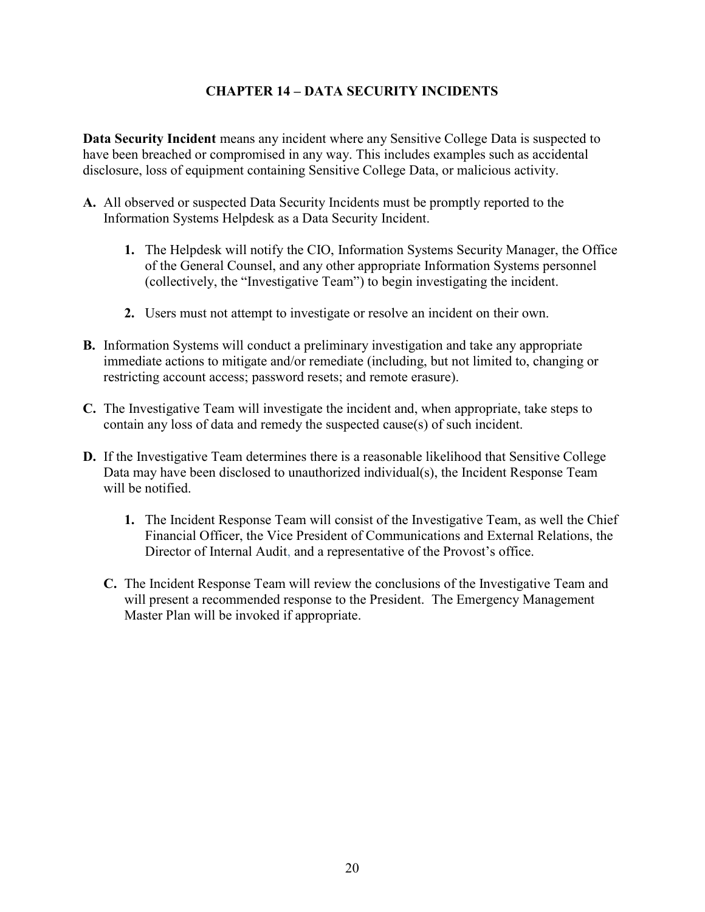# CHAPTER 14 – DATA SECURITY INCIDENTS

Data Security Incident means any incident where any Sensitive College Data is suspected to have been breached or compromised in any way. This includes examples such as accidental disclosure, loss of equipment containing Sensitive College Data, or malicious activity.

- A. All observed or suspected Data Security Incidents must be promptly reported to the Information Systems Helpdesk as a Data Security Incident.
	- 1. The Helpdesk will notify the CIO, Information Systems Security Manager, the Office of the General Counsel, and any other appropriate Information Systems personnel (collectively, the "Investigative Team") to begin investigating the incident.
	- 2. Users must not attempt to investigate or resolve an incident on their own.
- B. Information Systems will conduct a preliminary investigation and take any appropriate immediate actions to mitigate and/or remediate (including, but not limited to, changing or restricting account access; password resets; and remote erasure).
- C. The Investigative Team will investigate the incident and, when appropriate, take steps to contain any loss of data and remedy the suspected cause(s) of such incident.
- D. If the Investigative Team determines there is a reasonable likelihood that Sensitive College Data may have been disclosed to unauthorized individual(s), the Incident Response Team will be notified.
	- 1. The Incident Response Team will consist of the Investigative Team, as well the Chief Financial Officer, the Vice President of Communications and External Relations, the Director of Internal Audit, and a representative of the Provost's office.
	- C. The Incident Response Team will review the conclusions of the Investigative Team and will present a recommended response to the President. The Emergency Management Master Plan will be invoked if appropriate.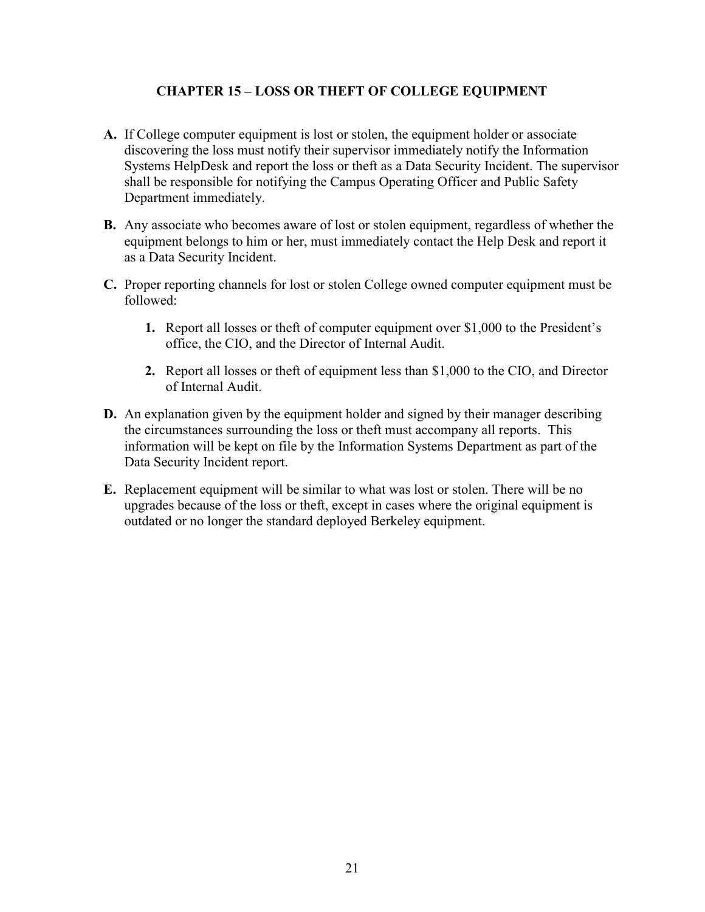# CHAPTER 15 – LOSS OR THEFT OF COLLEGE EQUIPMENT

- A. If College computer equipment is lost or stolen, the equipment holder or associate discovering the loss must notify their supervisor immediately notify the Information Systems HelpDesk and report the loss or theft as a Data Security Incident. The supervisor shall be responsible for notifying the Campus Operating Officer and Public Safety Department immediately.
- B. Any associate who becomes aware of lost or stolen equipment, regardless of whether the equipment belongs to him or her, must immediately contact the Help Desk and report it as a Data Security Incident.
- C. Proper reporting channels for lost or stolen College owned computer equipment must be followed:
	- 1. Report all losses or theft of computer equipment over \$1,000 to the President's office, the CIO, and the Director of Internal Audit.
	- 2. Report all losses or theft of equipment less than \$1,000 to the CIO, and Director of Internal Audit.
- D. An explanation given by the equipment holder and signed by their manager describing the circumstances surrounding the loss or theft must accompany all reports. This information will be kept on file by the Information Systems Department as part of the Data Security Incident report.
- E. Replacement equipment will be similar to what was lost or stolen. There will be no upgrades because of the loss or theft, except in cases where the original equipment is outdated or no longer the standard deployed Berkeley equipment.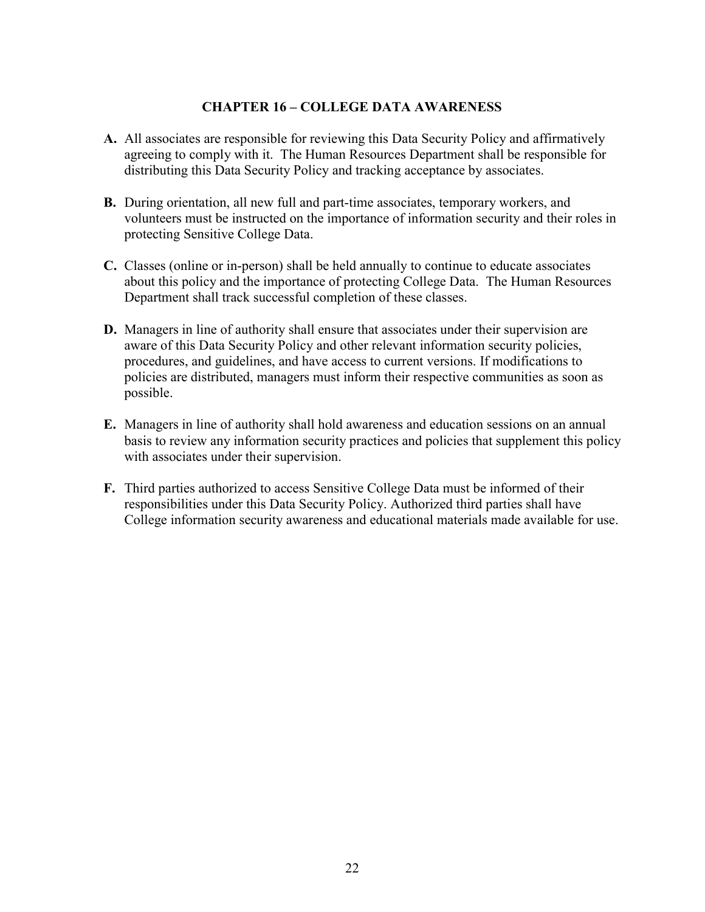#### CHAPTER 16 – COLLEGE DATA AWARENESS

- A. All associates are responsible for reviewing this Data Security Policy and affirmatively agreeing to comply with it. The Human Resources Department shall be responsible for distributing this Data Security Policy and tracking acceptance by associates.
- B. During orientation, all new full and part-time associates, temporary workers, and volunteers must be instructed on the importance of information security and their roles in protecting Sensitive College Data.
- C. Classes (online or in-person) shall be held annually to continue to educate associates about this policy and the importance of protecting College Data. The Human Resources Department shall track successful completion of these classes.
- D. Managers in line of authority shall ensure that associates under their supervision are aware of this Data Security Policy and other relevant information security policies, procedures, and guidelines, and have access to current versions. If modifications to policies are distributed, managers must inform their respective communities as soon as possible.
- E. Managers in line of authority shall hold awareness and education sessions on an annual basis to review any information security practices and policies that supplement this policy with associates under their supervision.
- F. Third parties authorized to access Sensitive College Data must be informed of their responsibilities under this Data Security Policy. Authorized third parties shall have College information security awareness and educational materials made available for use.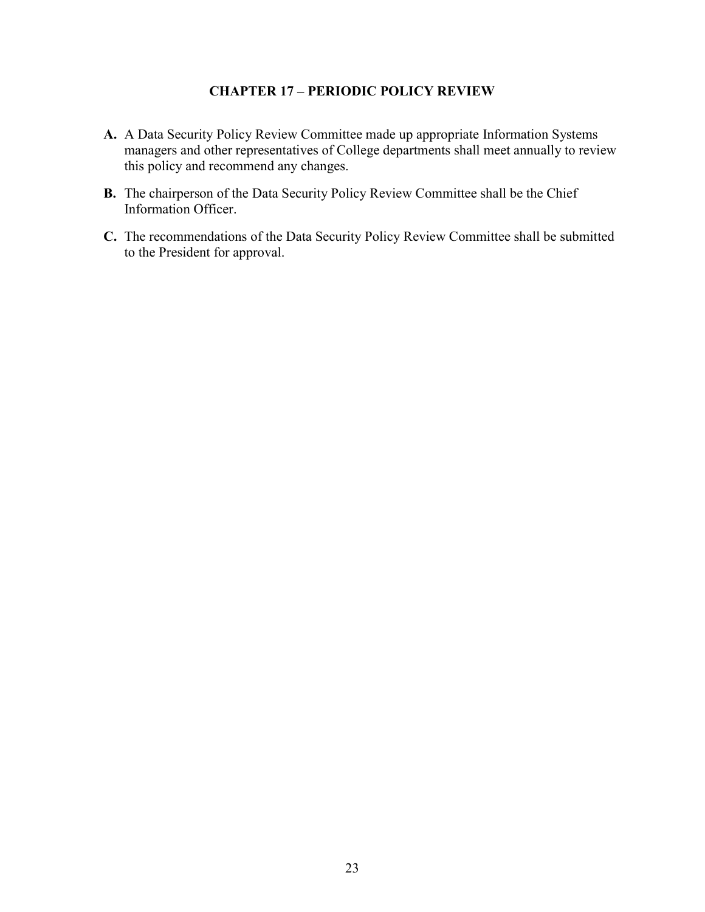#### CHAPTER 17 – PERIODIC POLICY REVIEW

- A. A Data Security Policy Review Committee made up appropriate Information Systems managers and other representatives of College departments shall meet annually to review this policy and recommend any changes.
- B. The chairperson of the Data Security Policy Review Committee shall be the Chief Information Officer.
- C. The recommendations of the Data Security Policy Review Committee shall be submitted to the President for approval.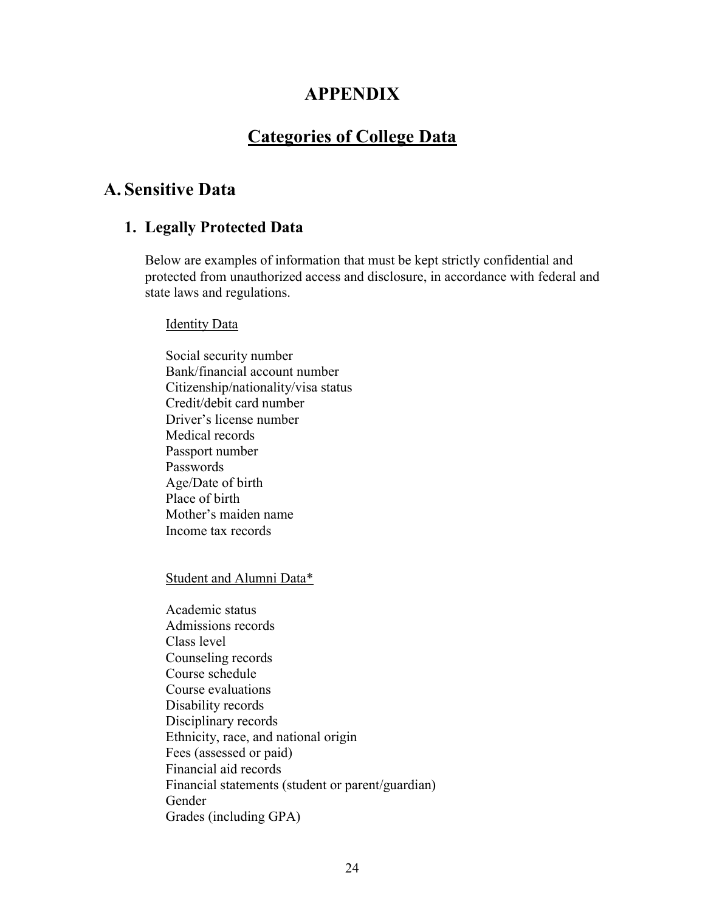# APPENDIX

# Categories of College Data

# A. Sensitive Data

# 1. Legally Protected Data

Below are examples of information that must be kept strictly confidential and protected from unauthorized access and disclosure, in accordance with federal and state laws and regulations.

#### Identity Data

 Social security number Bank/financial account number Citizenship/nationality/visa status Credit/debit card number Driver's license number Medical records Passport number Passwords Age/Date of birth Place of birth Mother's maiden name Income tax records

Student and Alumni Data\*

Academic status Admissions records Class level Counseling records Course schedule Course evaluations Disability records Disciplinary records Ethnicity, race, and national origin Fees (assessed or paid) Financial aid records Financial statements (student or parent/guardian) Gender Grades (including GPA)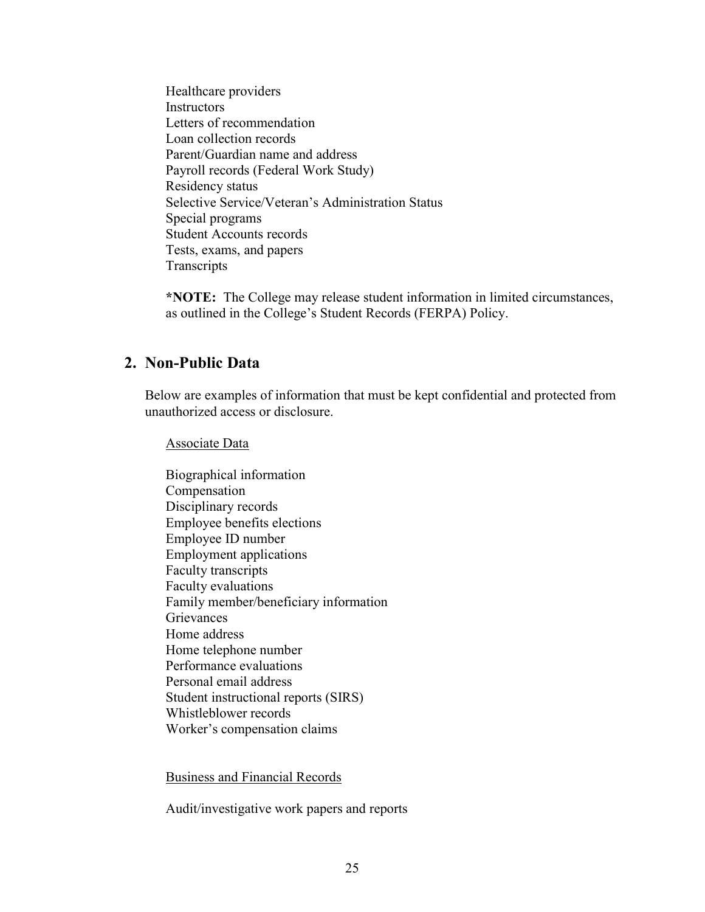Healthcare providers **Instructors** Letters of recommendation Loan collection records Parent/Guardian name and address Payroll records (Federal Work Study) Residency status Selective Service/Veteran's Administration Status Special programs Student Accounts records Tests, exams, and papers **Transcripts** 

\*NOTE: The College may release student information in limited circumstances, as outlined in the College's Student Records (FERPA) Policy.

# 2. Non-Public Data

Below are examples of information that must be kept confidential and protected from unauthorized access or disclosure.

Associate Data

Biographical information Compensation Disciplinary records Employee benefits elections Employee ID number Employment applications Faculty transcripts Faculty evaluations Family member/beneficiary information **Grievances** Home address Home telephone number Performance evaluations Personal email address Student instructional reports (SIRS) Whistleblower records Worker's compensation claims

Business and Financial Records

Audit/investigative work papers and reports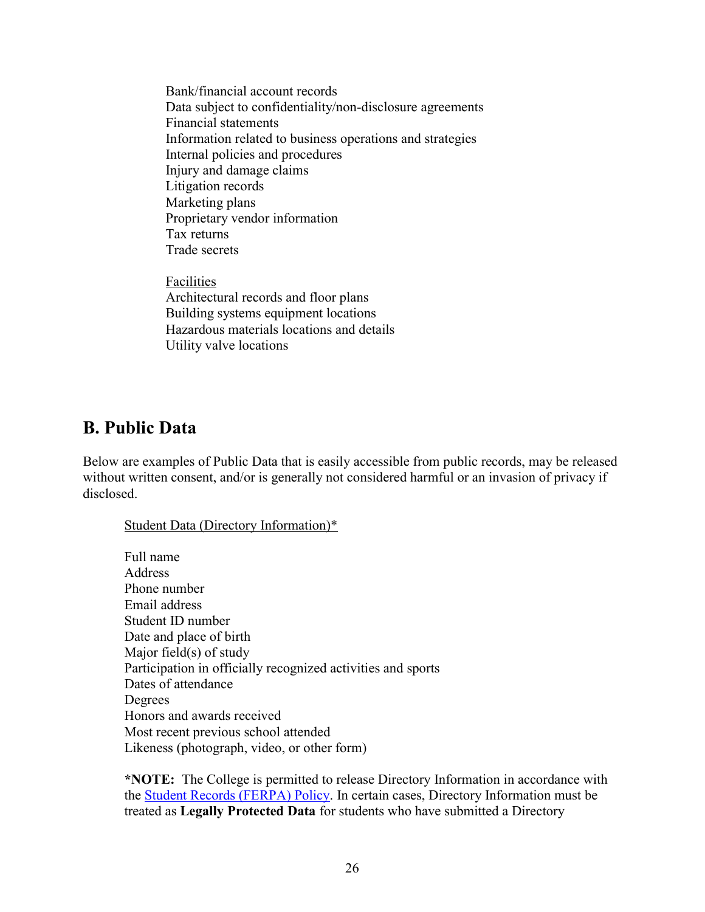Bank/financial account records Data subject to confidentiality/non-disclosure agreements Financial statements Information related to business operations and strategies Internal policies and procedures Injury and damage claims Litigation records Marketing plans Proprietary vendor information Tax returns Trade secrets

Facilities Architectural records and floor plans Building systems equipment locations Hazardous materials locations and details Utility valve locations

# B. Public Data

Below are examples of Public Data that is easily accessible from public records, may be released without written consent, and/or is generally not considered harmful or an invasion of privacy if disclosed.

#### Student Data (Directory Information)\*

 Full name Address Phone number Email address Student ID number Date and place of birth Major field(s) of study Participation in officially recognized activities and sports Dates of attendance Degrees Honors and awards received Most recent previous school attended Likeness (photograph, video, or other form)

\*NOTE: The College is permitted to release Directory Information in accordance with the Student Records (FERPA) Policy. In certain cases, Directory Information must be treated as Legally Protected Data for students who have submitted a Directory